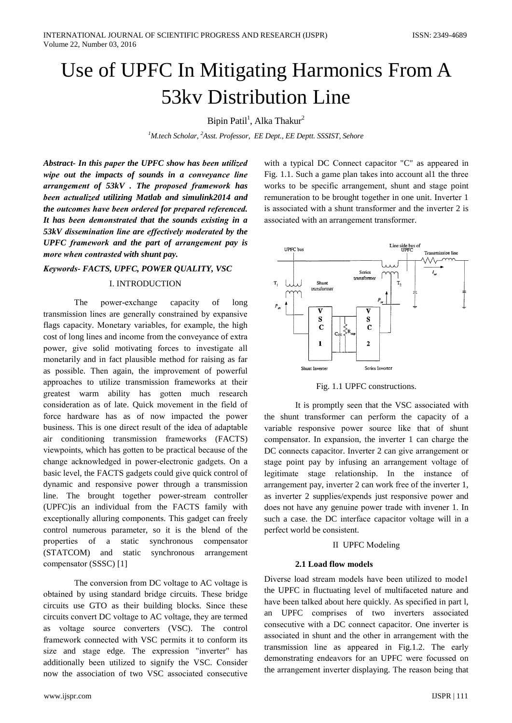# Use of UPFC In Mitigating Harmonics From A 53ky Distribution Line

# Bipin Patil<sup>1</sup>, Alka Thakur<sup>2</sup>

<sup>1</sup>M.tech Scholar, <sup>2</sup>Asst. Professor, EE Dept., EE Deptt. SSSIST, Sehore

Abstract- In this paper the UPFC show has been utilized wipe out the impacts of sounds in a conveyance line arrangement of 53kV. The proposed framework has been actualized utilizing Matlab and simulink2014 and the outcomes have been ordered for prepared referenced. It has been demonstrated that the sounds existing in a 53kV dissemination line are effectively moderated by the UPFC framework and the part of arrangement pay is more when contrasted with shunt pay.

# Keywords- FACTS, UPFC, POWER QUALITY, VSC

#### I. INTRODUCTION

The power-exchange capacity of long transmission lines are generally constrained by expansive flags capacity. Monetary variables, for example, the high cost of long lines and income from the conveyance of extra power, give solid motivating forces to investigate all monetarily and in fact plausible method for raising as far as possible. Then again, the improvement of powerful approaches to utilize transmission frameworks at their greatest warm ability has gotten much research consideration as of late. Ouick movement in the field of force hardware has as of now impacted the power business. This is one direct result of the idea of adaptable air conditioning transmission frameworks (FACTS) viewpoints, which has gotten to be practical because of the change acknowledged in power-electronic gadgets. On a basic level, the FACTS gadgets could give quick control of dynamic and responsive power through a transmission line. The brought together power-stream controller (UPFC) is an individual from the FACTS family with exceptionally alluring components. This gadget can freely control numerous parameter, so it is the blend of the properties of  $a$ static synchronous compensator (STATCOM) and static synchronous arrangement compensator (SSSC) [1]

The conversion from DC voltage to AC voltage is obtained by using standard bridge circuits. These bridge circuits use GTO as their building blocks. Since these circuits convert DC voltage to AC voltage, they are termed as voltage source converters (VSC). The control framework connected with VSC permits it to conform its size and stage edge. The expression "inverter" has additionally been utilized to signify the VSC. Consider now the association of two VSC associated consecutive

with a typical DC Connect capacitor "C" as appeared in Fig. 1.1. Such a game plan takes into account all the three works to be specific arrangement, shunt and stage point remuneration to be brought together in one unit. Inverter 1 is associated with a shunt transformer and the inverter 2 is associated with an arrangement transformer.



Fig. 1.1 UPFC constructions.

It is promptly seen that the VSC associated with the shunt transformer can perform the capacity of a variable responsive power source like that of shunt compensator. In expansion, the inverter 1 can charge the DC connects capacitor. Inverter 2 can give arrangement or stage point pay by infusing an arrangement voltage of legitimate stage relationship. In the instance of arrangement pay, inverter 2 can work free of the inverter 1, as inverter 2 supplies/expends just responsive power and does not have any genuine power trade with invener 1. In such a case. the DC interface capacitor voltage will in a perfect world be consistent.

#### **II** UPFC Modeling

#### 2.1 Load flow models

Diverse load stream models have been utilized to model the UPFC in fluctuating level of multifaceted nature and have been talked about here quickly. As specified in part l, an UPFC comprises of two inverters associated consecutive with a DC connect capacitor. One inverter is associated in shunt and the other in arrangement with the transmission line as appeared in Fig.1.2. The early demonstrating endeavors for an UPFC were focussed on the arrangement inverter displaying. The reason being that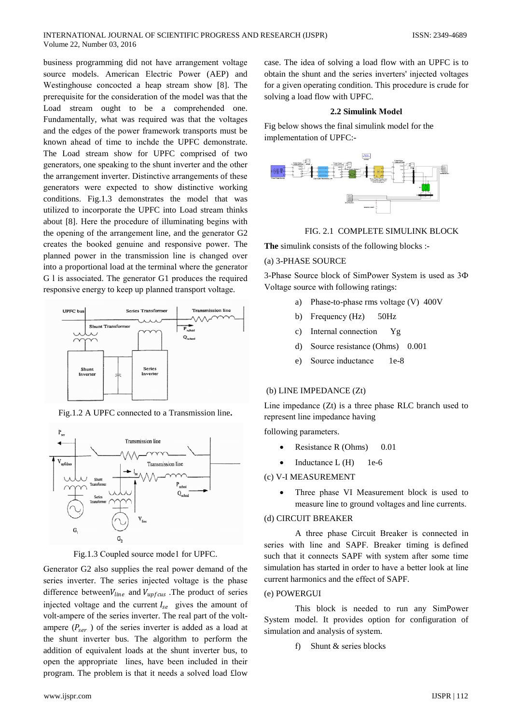business programming did not have arrangement voltage source models. American Electric Power (AEP) and Westinghouse concocted a heap stream show [8]. The prerequisite for the consideration of the model was that the Load stream ought to be a comprehended one. Fundamentally, what was required was that the voltages and the edges of the power framework transports must be known ahead of time to inchde the UPFC demonstrate. The Load stream show for UPFC comprised of two generators, one speaking to the shunt inverter and the other the arrangement inverter. Distinctive arrangements of these generators were expected to show distinctive working conditions. Fig.1.3 demonstrates the model that was utilized to incorporate the UPFC into Load stream thinks about [8]. Here the procedure of illuminating begins with the opening of the arrangement line, and the generator G2 creates the booked genuine and responsive power. The planned power in the transmission line is changed over into a proportional load at the terminal where the generator G 1 is associated. The generator G1 produces the required responsive energy to keep up planned transport voltage.



Fig.1.2 A UPFC connected to a Transmission line.



Fig.1.3 Coupled source mode1 for UPFC.

Generator G2 also supplies the real power demand of the series inverter. The series injected voltage is the phase difference between  $V_{line}$  and  $V_{upfcus}$ . The product of series injected voltage and the current  $I_{se}$  gives the amount of volt-ampere of the series inverter. The real part of the voltampere  $(P_{\text{ger}})$  of the series inverter is added as a load at the shunt inverter bus. The algorithm to perform the addition of equivalent loads at the shunt inverter bus, to open the appropriate lines, have been included in their program. The problem is that it needs a solved load flow

case. The idea of solving a load flow with an UPFC is to obtain the shunt and the series inverters' injected voltages for a given operating condition. This procedure is crude for solving a load flow with UPFC.

#### 2.2 Simulink Model

Fig below shows the final simulink model for the implementation of UPFC:-



## FIG. 2.1 COMPLETE SIMULINK BLOCK

The simulink consists of the following blocks :-

#### (a) 3-PHASE SOURCE

3-Phase Source block of SimPower System is used as 3 $\Phi$ Voltage source with following ratings:

- a) Phase-to-phase rms voltage (V) 400V
- $50Hz$ b) Frequency (Hz)
- Internal connection  $c)$ Yg
- Source resistance (Ohms) 0.001  $\overline{d}$
- Source inductance  $1e-8$  $e)$

## (b) LINE IMPEDANCE (Zt)

Line impedance  $(Zt)$  is a three phase RLC branch used to represent line impedance having

following parameters.

- Resistance R (Ohms) 0.01
- Inductance L (H)  $1e-6$

## (c) V-I MEASUREMENT

Three phase VI Measurement block is used to measure line to ground voltages and line currents.

#### (d) CIRCUIT BREAKER

A three phase Circuit Breaker is connected in series with line and SAPF. Breaker timing is defined such that it connects SAPF with system after some time simulation has started in order to have a better look at line current harmonics and the effect of SAPF.

### (e) POWERGUI

This block is needed to run any SimPower System model. It provides option for configuration of simulation and analysis of system.

f) Shunt  $\&$  series blocks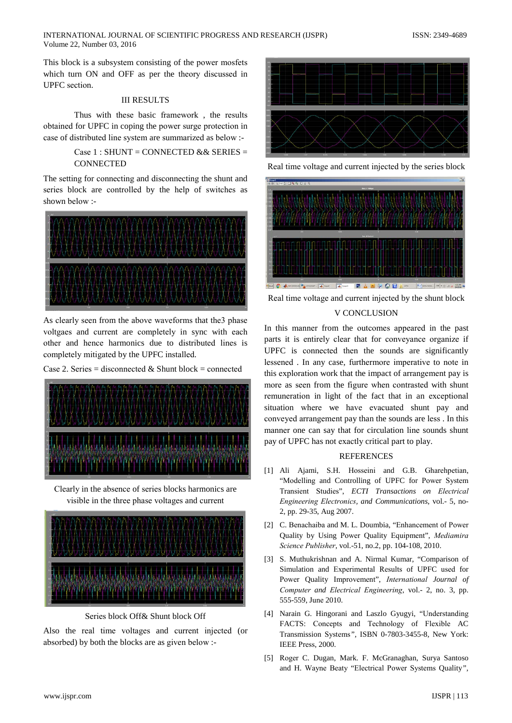This block is a subsystem consisting of the power mosfets which turn ON and OFF as per the theory discussed in UPFC section.

## **III RESULTS**

Thus with these basic framework, the results obtained for UPFC in coping the power surge protection in case of distributed line system are summarized as below :-

> Case 1 : SHUNT = CONNECTED & & SERIES = **CONNECTED**

The setting for connecting and disconnecting the shunt and series block are controlled by the help of switches as shown below :-



As clearly seen from the above waveforms that the 3 phase voltgaes and current are completely in sync with each other and hence harmonics due to distributed lines is completely mitigated by the UPFC installed.

Case 2. Series = disconnected & Shunt block = connected



Clearly in the absence of series blocks harmonics are visible in the three phase voltages and current



Series block Off& Shunt block Off

Also the real time voltages and current injected (or absorbed) by both the blocks are as given below :-



Real time voltage and current injected by the series block



Real time voltage and current injected by the shunt block **V CONCLUSION** 

# In this manner from the outcomes appeared in the past parts it is entirely clear that for conveyance organize if UPFC is connected then the sounds are significantly lessened. In any case, furthermore imperative to note in this exploration work that the impact of arrangement pay is more as seen from the figure when contrasted with shunt remuneration in light of the fact that in an exceptional situation where we have evacuated shunt pay and conveyed arrangement pay than the sounds are less. In this manner one can say that for circulation line sounds shunt pay of UPFC has not exactly critical part to play.

# **REFERENCES**

- [1] Ali Ajami, S.H. Hosseini and G.B. Gharehpetian, "Modelling and Controlling of UPFC for Power System Transient Studies", ECTI Transactions on Electrical Engineering Electronics, and Communications, vol.- 5, no-2, pp. 29-35, Aug 2007.
- [2] C. Benachaiba and M. L. Doumbia, "Enhancement of Power Quality by Using Power Quality Equipment", Mediamira Science Publisher, vol.-51, no.2, pp. 104-108, 2010.
- [3] S. Muthukrishnan and A. Nirmal Kumar, "Comparison of Simulation and Experimental Results of UPFC used for Power Quality Improvement", International Journal of Computer and Electrical Engineering, vol.- 2, no. 3, pp. 555-559, June 2010.
- [4] Narain G. Hingorani and Laszlo Gyugyi, "Understanding FACTS: Concepts and Technology of Flexible AC Transmission Systems", ISBN 0-7803-3455-8, New York: IEEE Press, 2000.
- [5] Roger C. Dugan, Mark. F. McGranaghan, Surya Santoso and H. Wayne Beaty "Electrical Power Systems Quality",